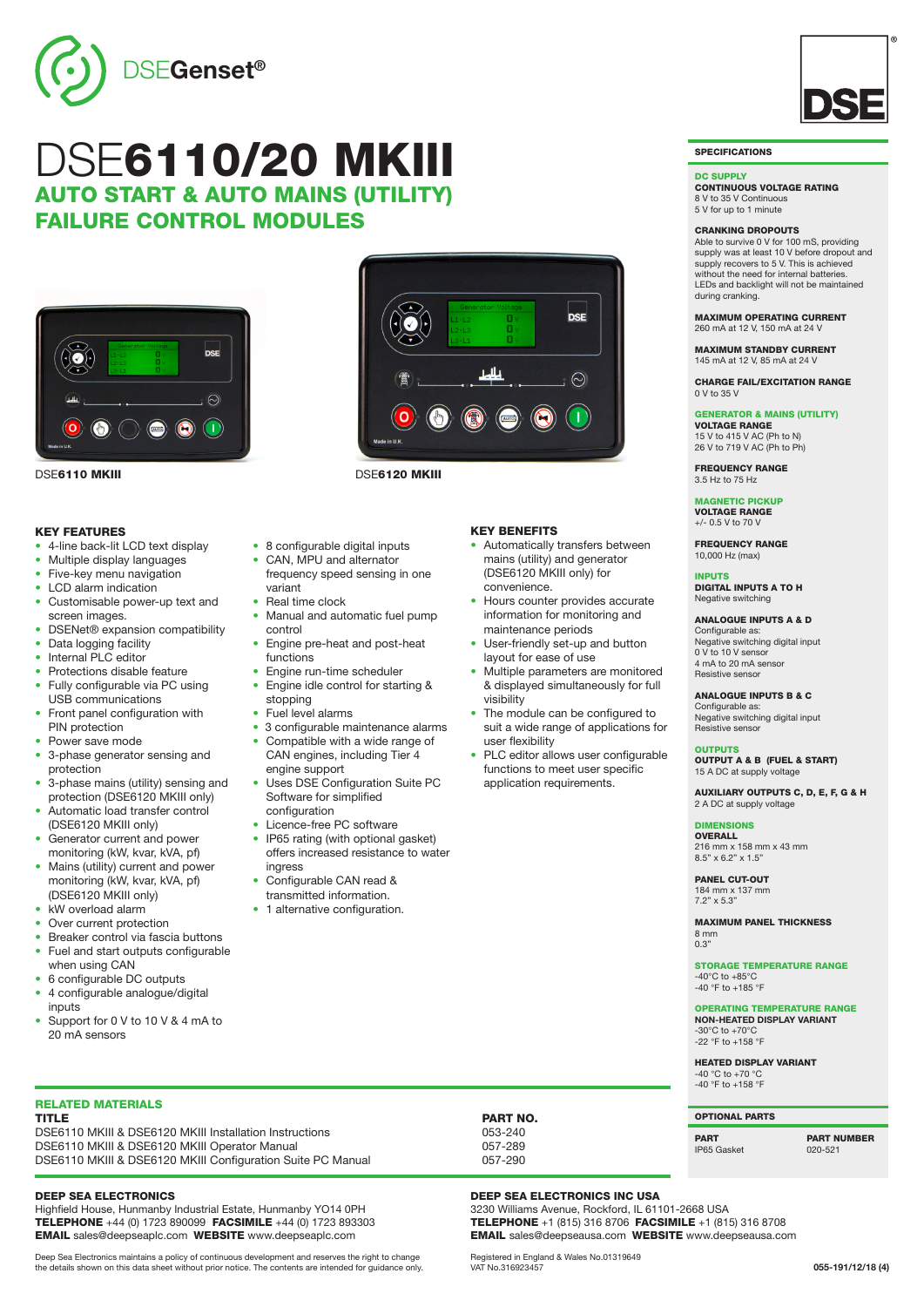

## DSE6110/20 MKIII AUTO START & AUTO MAINS (UTILITY) FAILURE CONTROL MODULES



DSE6110 MKIII DSE6120 MKIII

#### KEY FEATURES

- 4-line back-lit LCD text display
- Multiple display languages
- Five-key menu navigation
- LCD alarm indication
- Customisable power-up text and screen images.
- DSENet® expansion compatibility
- Data logging facility
- Internal PLC editor
- Protections disable feature
- Fully configurable via PC using USB communications
- Front panel configuration with PIN protection
- Power save mode
- 3-phase generator sensing and protection
- 3-phase mains (utility) sensing and protection (DSE6120 MKIII only)
- Automatic load transfer control (DSE6120 MKIII only)
- Generator current and power monitoring (kW, kvar, kVA, pf)
- Mains (utility) current and power monitoring (kW, kvar, kVA, pf) (DSE6120 MKIII only)
- kW overload alarm
- Over current protection
- Breaker control via fascia buttons
- Fuel and start outputs configurable when using CAN
- 6 configurable DC outputs
- 4 configurable analogue/digital inputs
- Support for 0 V to 10 V & 4 mA to 20 mA sensors

 $\left( \cdot \right)$  $\bullet$ 

 $\overline{O}$ 

- 8 configurable digital inputs
- CAN, MPU and alternator
	- frequency speed sensing in one variant Real time clock
- Manual and automatic fuel pump
- control • Engine pre-heat and post-heat functions
- Engine run-time scheduler
- Engine idle control for starting & stopping
- Fuel level alarms
- 3 configurable maintenance alarms Compatible with a wide range of
- CAN engines, including Tier 4 engine support
- Uses DSE Configuration Suite PC Software for simplified configuration
- Licence-free PC software
- IP65 rating (with optional gasket) offers increased resistance to water ingress
- Configurable CAN read & transmitted information.
- 1 alternative configuration.

### KEY BENEFITS

• Automatically transfers between mains (utility) and generator (DSE6120 MKIII only) for convenience.

**DSE** 

 $\odot$ 

T

- Hours counter provides accurate information for monitoring and maintenance periods
- User-friendly set-up and button layout for ease of use
- Multiple parameters are monitored & displayed simultaneously for full visibility
- The module can be configured to suit a wide range of applications for user flexibility
- PLC editor allows user configurable functions to meet user specific application requirements.

**SPECIFICATIONS** 

#### DC SUPPLY

CONTINUOUS VOLTAGE RATING 8 V to 35 V Continuous 5 V for up to 1 minute

### CRANKING DROPOUTS

Able to survive 0 V for 100 mS, providing supply was at least 10 V before dropout and supply recovers to 5 V. This is achieved without the need for internal batteries. LEDs and backlight will not be maintained during cranking.

#### MAXIMUM OPERATING CURRENT 260 mA at 12 V, 150 mA at 24 V

MAXIMUM STANDBY CURRENT 145 mA at 12 V, 85 mA at 24 V

CHARGE FAIL/EXCITATION RANGE 0 V to 35 V

#### GENERATOR & MAINS (UTILITY) VOLTAGE RANGE

15 V to 415 V AC (Ph to N) 26 V to 719 V AC (Ph to Ph)

FREQUENCY RANGE 3.5 Hz to 75 Hz

MAGNETIC PICKUP VOLTAGE RANGE +/- 0.5 V to 70 V

FREQUENCY RANGE 10,000 Hz (max)

### INPUTS

DIGITAL INPUTS A TO H Negative switching

#### ANALOGUE INPUTS A & D

Configurable as: Negative switching digital input 0 V to 10 V senso 4 mA to 20 mA sensor Resistive senso

ANALOGUE INPUTS B & C

Configurable as: Negative switching digital input Resistive sensor

### **OUTPUTS**

OUTPUT A & B (FUEL & START) 15 A DC at supply voltage

AUXILIARY OUTPUTS C, D, E, F, G & H 2 A DC at supply voltage

#### DIMENSIONS **OVERALL**

216 mm x 158 mm x 43 mm 8.5" x 6.2" x 1.5"

PANEL CUT-OUT 184 mm x 137 mm  $7.2" \times 5.3"$ 

MAXIMUM PANEL THICKNESS 8 mm 0.3"

STORAGE TEMPERATURE RANGE -40°C to +85°C -40 °F to +185 °F

OPERATING TEMPERATURE RANGE **NON-HEATED DISPLAY VARIANT**  $-30^{\circ}$ C to  $+70^{\circ}$ C -22 °F to +158 °F

HEATED DISPLAY VARIANT -40 °C to +70 °C -40 °F to +158 °F

### OPTIONAL PARTS

PART PART NUMBER IP65 Gasket

RELATED MATERIALS DSE6110 MKIII & DSE6120 MKIII Installation Instructions 053-240<br>DSE6110 MKIII & DSE6120 MKIII Operator Manual 057-289 DSE6110 MKIII & DSE6120 MKIII Operator Manual 057-289<br>DSE6110 MKIII & DSE6120 MKIII Configuration Suite PC Manual 057-290 DSE6110 MKIII & DSE6120 MKIII Configuration Suite PC Manual

#### DEEP SEA ELECTRONICS

Highfield House, Hunmanby Industrial Estate, Hunmanby YO14 0PH TELEPHONE +44 (0) 1723 890099 FACSIMILE +44 (0) 1723 893303 EMAIL sales@deepseaplc.com WEBSITE www.deepseaplc.com

Deep Sea Electronics maintains a policy of continuous development and reserves the right to change the details shown on this data sheet without prior notice. The contents are intended for guidance only.

PART NO.

### DEEP SEA ELECTRONICS INC USA

3230 Williams Avenue, Rockford, IL 61101-2668 USA TELEPHONE +1 (815) 316 8706 FACSIMILE +1 (815) 316 8708 EMAIL sales@deepseausa.com WEBSITE www.deepseausa.com

Registered in England & Wales No.01319649 VAT No.316923457